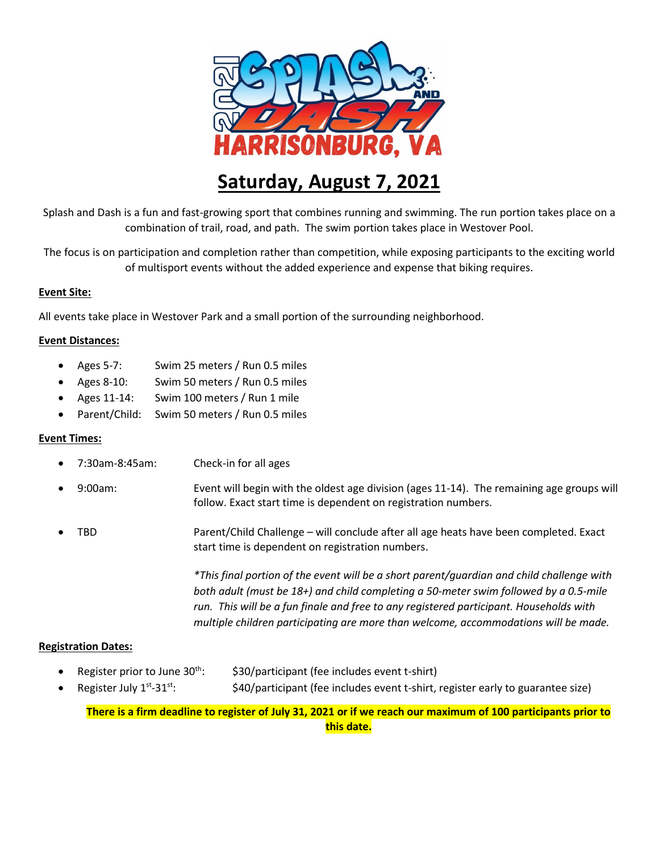

# **Saturday, August 7, 2021**

Splash and Dash is a fun and fast-growing sport that combines running and swimming. The run portion takes place on a combination of trail, road, and path. The swim portion takes place in Westover Pool.

The focus is on participation and completion rather than competition, while exposing participants to the exciting world of multisport events without the added experience and expense that biking requires.

### **Event Site:**

All events take place in Westover Park and a small portion of the surrounding neighborhood.

### **Event Distances:**

- Ages 5-7: Swim 25 meters / Run 0.5 miles
- Ages 8-10: Swim 50 meters / Run 0.5 miles
- Ages 11-14: Swim 100 meters / Run 1 mile
- Parent/Child: Swim 50 meters / Run 0.5 miles

#### **Event Times:**

- 7:30am-8:45am: Check-in for all ages
- 9:00am: Event will begin with the oldest age division (ages 11-14). The remaining age groups will follow. Exact start time is dependent on registration numbers.
- TBD Parent/Child Challenge will conclude after all age heats have been completed. Exact start time is dependent on registration numbers.

*\*This final portion of the event will be a short parent/guardian and child challenge with both adult (must be 18+) and child completing a 50-meter swim followed by a 0.5-mile run. This will be a fun finale and free to any registered participant. Households with multiple children participating are more than welcome, accommodations will be made.*

## **Registration Dates:**

- Register prior to June  $30^{th}$ :  $\qquad$  \$30/participant (fee includes event t-shirt)
- Register July 1<sup>st</sup>-31st: \$40/participant (fee includes event t-shirt, register early to guarantee size)

**There is a firm deadline to register of July 31, 2021 or if we reach our maximum of 100 participants prior to this date.**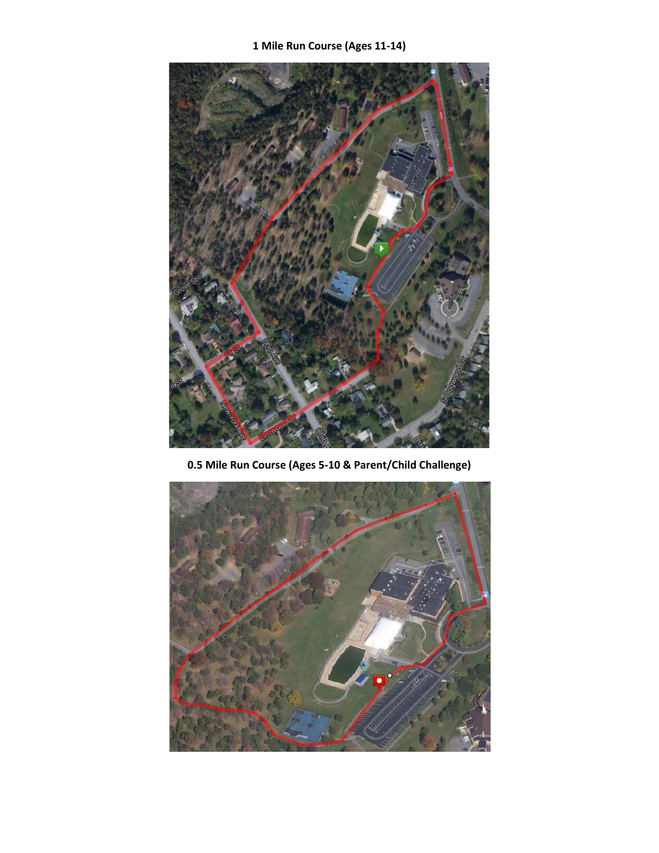**1 Mile Run Course (Ages 11-14)**



**0.5 Mile Run Course (Ages 5-10 & Parent/Child Challenge)**